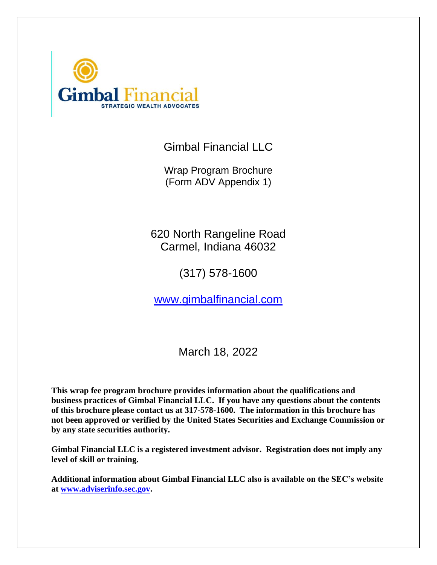

Gimbal Financial LLC

Wrap Program Brochure (Form ADV Appendix 1)

620 North Rangeline Road Carmel, Indiana 46032

(317) 578-1600

[www.gimbalfinancial.com](http://www.gimbalfinancial.com/)

March 18, 2022

**This wrap fee program brochure provides information about the qualifications and business practices of Gimbal Financial LLC. If you have any questions about the contents of this brochure please contact us at 317-578-1600. The information in this brochure has not been approved or verified by the United States Securities and Exchange Commission or by any state securities authority.**

**Gimbal Financial LLC is a registered investment advisor. Registration does not imply any level of skill or training.**

**Additional information about Gimbal Financial LLC also is available on the SEC's website at [www.adviserinfo.sec.gov.](http://www.adviserinfo.sec.gov/)**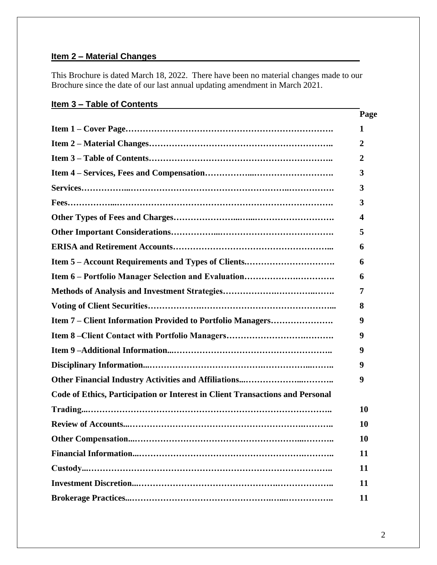# **Item 2 – Material Changes**

This Brochure is dated March 18, 2022. There have been no material changes made to our Brochure since the date of our last annual updating amendment in March 2021.

# **Item 3 – Table of Contents**

|                                                                               | Page |
|-------------------------------------------------------------------------------|------|
|                                                                               | 1    |
|                                                                               | 2    |
|                                                                               | 2    |
|                                                                               | 3    |
|                                                                               | 3    |
|                                                                               | 3    |
|                                                                               | 4    |
|                                                                               | 5    |
|                                                                               | 6    |
|                                                                               | 6    |
|                                                                               | 6    |
|                                                                               | 7    |
|                                                                               | 8    |
| Item 7 - Client Information Provided to Portfolio Managers                    | 9    |
|                                                                               | 9    |
|                                                                               | 9    |
|                                                                               | 9    |
|                                                                               | 9    |
| Code of Ethics, Participation or Interest in Client Transactions and Personal |      |
|                                                                               | 10   |
|                                                                               | 10   |
|                                                                               | 10   |
|                                                                               | 11   |
|                                                                               | 11   |
|                                                                               | 11   |
|                                                                               | 11   |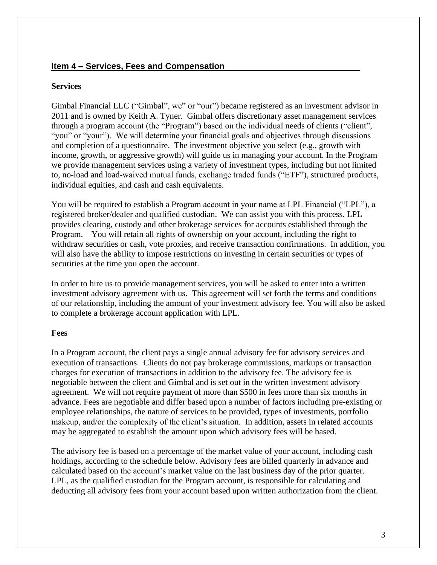#### **Item 4 – Services, Fees and Compensation**

#### **Services**

Gimbal Financial LLC ("Gimbal", we" or "our") became registered as an investment advisor in 2011 and is owned by Keith A. Tyner. Gimbal offers discretionary asset management services through a program account (the "Program") based on the individual needs of clients ("client", "you" or "your"). We will determine your financial goals and objectives through discussions and completion of a questionnaire. The investment objective you select (e.g., growth with income, growth, or aggressive growth) will guide us in managing your account. In the Program we provide management services using a variety of investment types, including but not limited to, no-load and load-waived mutual funds, exchange traded funds ("ETF"), structured products, individual equities, and cash and cash equivalents.

You will be required to establish a Program account in your name at LPL Financial ("LPL"), a registered broker/dealer and qualified custodian. We can assist you with this process. LPL provides clearing, custody and other brokerage services for accounts established through the Program. You will retain all rights of ownership on your account, including the right to withdraw securities or cash, vote proxies, and receive transaction confirmations. In addition, you will also have the ability to impose restrictions on investing in certain securities or types of securities at the time you open the account.

In order to hire us to provide management services, you will be asked to enter into a written investment advisory agreement with us. This agreement will set forth the terms and conditions of our relationship, including the amount of your investment advisory fee. You will also be asked to complete a brokerage account application with LPL.

#### **Fees**

In a Program account, the client pays a single annual advisory fee for advisory services and execution of transactions. Clients do not pay brokerage commissions, markups or transaction charges for execution of transactions in addition to the advisory fee. The advisory fee is negotiable between the client and Gimbal and is set out in the written investment advisory agreement. We will not require payment of more than \$500 in fees more than six months in advance. Fees are negotiable and differ based upon a number of factors including pre-existing or employee relationships, the nature of services to be provided, types of investments, portfolio makeup, and/or the complexity of the client's situation. In addition, assets in related accounts may be aggregated to establish the amount upon which advisory fees will be based.

The advisory fee is based on a percentage of the market value of your account, including cash holdings, according to the schedule below. Advisory fees are billed quarterly in advance and calculated based on the account's market value on the last business day of the prior quarter. LPL, as the qualified custodian for the Program account, is responsible for calculating and deducting all advisory fees from your account based upon written authorization from the client.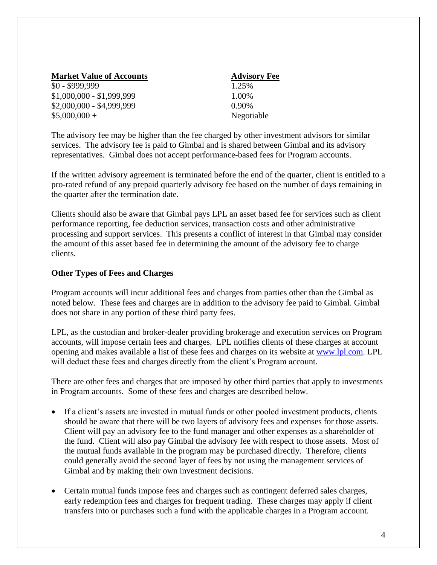| <b>Market Value of Accounts</b> | <b>Advise</b> |  |
|---------------------------------|---------------|--|
| $$0 - $999,999$                 | 1.25%         |  |
| $$1,000,000 - $1,999,999$       | 1.00%         |  |
| \$2,000,000 - \$4,999,999       | 0.90%         |  |
| $$5,000,000+$                   | Negoti        |  |

**Advisory Fee** Negotiable

The advisory fee may be higher than the fee charged by other investment advisors for similar services. The advisory fee is paid to Gimbal and is shared between Gimbal and its advisory representatives. Gimbal does not accept performance-based fees for Program accounts.

If the written advisory agreement is terminated before the end of the quarter, client is entitled to a pro-rated refund of any prepaid quarterly advisory fee based on the number of days remaining in the quarter after the termination date.

Clients should also be aware that Gimbal pays LPL an asset based fee for services such as client performance reporting, fee deduction services, transaction costs and other administrative processing and support services. This presents a conflict of interest in that Gimbal may consider the amount of this asset based fee in determining the amount of the advisory fee to charge clients.

#### **Other Types of Fees and Charges**

Program accounts will incur additional fees and charges from parties other than the Gimbal as noted below. These fees and charges are in addition to the advisory fee paid to Gimbal. Gimbal does not share in any portion of these third party fees.

LPL, as the custodian and broker-dealer providing brokerage and execution services on Program accounts, will impose certain fees and charges. LPL notifies clients of these charges at account opening and makes available a list of these fees and charges on its website at [www.lpl.com.](http://www.lpl.com/) LPL will deduct these fees and charges directly from the client's Program account.

There are other fees and charges that are imposed by other third parties that apply to investments in Program accounts. Some of these fees and charges are described below.

- If a client's assets are invested in mutual funds or other pooled investment products, clients should be aware that there will be two layers of advisory fees and expenses for those assets. Client will pay an advisory fee to the fund manager and other expenses as a shareholder of the fund. Client will also pay Gimbal the advisory fee with respect to those assets. Most of the mutual funds available in the program may be purchased directly. Therefore, clients could generally avoid the second layer of fees by not using the management services of Gimbal and by making their own investment decisions.
- Certain mutual funds impose fees and charges such as contingent deferred sales charges, early redemption fees and charges for frequent trading. These charges may apply if client transfers into or purchases such a fund with the applicable charges in a Program account.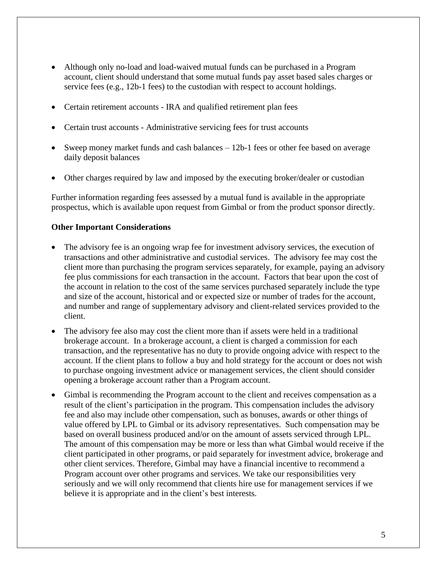- Although only no-load and load-waived mutual funds can be purchased in a Program account, client should understand that some mutual funds pay asset based sales charges or service fees (e.g., 12b-1 fees) to the custodian with respect to account holdings.
- Certain retirement accounts IRA and qualified retirement plan fees
- Certain trust accounts Administrative servicing fees for trust accounts
- Sweep money market funds and cash balances 12b-1 fees or other fee based on average daily deposit balances
- Other charges required by law and imposed by the executing broker/dealer or custodian

Further information regarding fees assessed by a mutual fund is available in the appropriate prospectus, which is available upon request from Gimbal or from the product sponsor directly.

#### **Other Important Considerations**

- The advisory fee is an ongoing wrap fee for investment advisory services, the execution of transactions and other administrative and custodial services. The advisory fee may cost the client more than purchasing the program services separately, for example, paying an advisory fee plus commissions for each transaction in the account. Factors that bear upon the cost of the account in relation to the cost of the same services purchased separately include the type and size of the account, historical and or expected size or number of trades for the account, and number and range of supplementary advisory and client-related services provided to the client.
- The advisory fee also may cost the client more than if assets were held in a traditional brokerage account. In a brokerage account, a client is charged a commission for each transaction, and the representative has no duty to provide ongoing advice with respect to the account. If the client plans to follow a buy and hold strategy for the account or does not wish to purchase ongoing investment advice or management services, the client should consider opening a brokerage account rather than a Program account.
- Gimbal is recommending the Program account to the client and receives compensation as a result of the client's participation in the program. This compensation includes the advisory fee and also may include other compensation, such as bonuses, awards or other things of value offered by LPL to Gimbal or its advisory representatives. Such compensation may be based on overall business produced and/or on the amount of assets serviced through LPL. The amount of this compensation may be more or less than what Gimbal would receive if the client participated in other programs, or paid separately for investment advice, brokerage and other client services. Therefore, Gimbal may have a financial incentive to recommend a Program account over other programs and services. We take our responsibilities very seriously and we will only recommend that clients hire use for management services if we believe it is appropriate and in the client's best interests.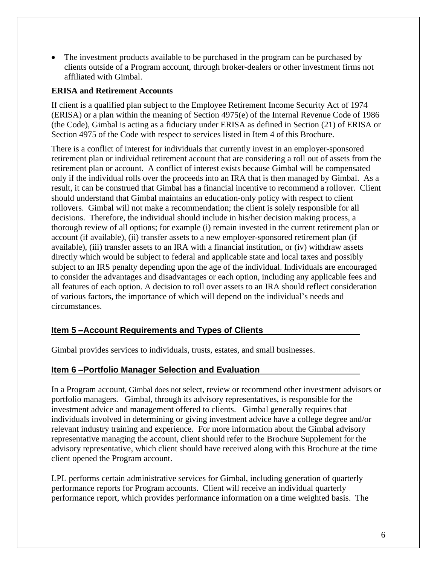• The investment products available to be purchased in the program can be purchased by clients outside of a Program account, through broker-dealers or other investment firms not affiliated with Gimbal.

### **ERISA and Retirement Accounts**

If client is a qualified plan subject to the Employee Retirement Income Security Act of 1974 (ERISA) or a plan within the meaning of Section 4975(e) of the Internal Revenue Code of 1986 (the Code), Gimbal is acting as a fiduciary under ERISA as defined in Section (21) of ERISA or Section 4975 of the Code with respect to services listed in Item 4 of this Brochure.

There is a conflict of interest for individuals that currently invest in an employer-sponsored retirement plan or individual retirement account that are considering a roll out of assets from the retirement plan or account. A conflict of interest exists because Gimbal will be compensated only if the individual rolls over the proceeds into an IRA that is then managed by Gimbal. As a result, it can be construed that Gimbal has a financial incentive to recommend a rollover. Client should understand that Gimbal maintains an education-only policy with respect to client rollovers. Gimbal will not make a recommendation; the client is solely responsible for all decisions. Therefore, the individual should include in his/her decision making process, a thorough review of all options; for example (i) remain invested in the current retirement plan or account (if available), (ii) transfer assets to a new employer-sponsored retirement plan (if available), (iii) transfer assets to an IRA with a financial institution, or (iv) withdraw assets directly which would be subject to federal and applicable state and local taxes and possibly subject to an IRS penalty depending upon the age of the individual. Individuals are encouraged to consider the advantages and disadvantages or each option, including any applicable fees and all features of each option. A decision to roll over assets to an IRA should reflect consideration of various factors, the importance of which will depend on the individual's needs and circumstances.

### **Item 5 –Account Requirements and Types of Clients**

Gimbal provides services to individuals, trusts, estates, and small businesses.

#### **Item 6 –Portfolio Manager Selection and Evaluation**

In a Program account, Gimbal does not select, review or recommend other investment advisors or portfolio managers. Gimbal, through its advisory representatives, is responsible for the investment advice and management offered to clients. Gimbal generally requires that individuals involved in determining or giving investment advice have a college degree and/or relevant industry training and experience. For more information about the Gimbal advisory representative managing the account, client should refer to the Brochure Supplement for the advisory representative, which client should have received along with this Brochure at the time client opened the Program account.

LPL performs certain administrative services for Gimbal, including generation of quarterly performance reports for Program accounts. Client will receive an individual quarterly performance report, which provides performance information on a time weighted basis. The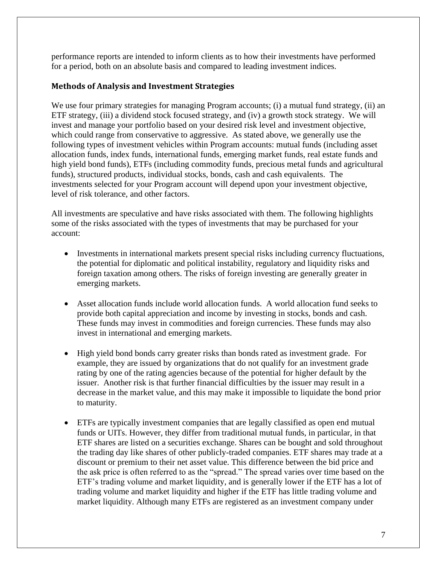performance reports are intended to inform clients as to how their investments have performed for a period, both on an absolute basis and compared to leading investment indices.

#### **Methods of Analysis and Investment Strategies**

We use four primary strategies for managing Program accounts; (i) a mutual fund strategy, (ii) an ETF strategy, (iii) a dividend stock focused strategy, and (iv) a growth stock strategy. We will invest and manage your portfolio based on your desired risk level and investment objective, which could range from conservative to aggressive. As stated above, we generally use the following types of investment vehicles within Program accounts: mutual funds (including asset allocation funds, index funds, international funds, emerging market funds, real estate funds and high yield bond funds), ETFs (including commodity funds, precious metal funds and agricultural funds), structured products, individual stocks, bonds, cash and cash equivalents. The investments selected for your Program account will depend upon your investment objective, level of risk tolerance, and other factors.

All investments are speculative and have risks associated with them. The following highlights some of the risks associated with the types of investments that may be purchased for your account:

- Investments in international markets present special risks including currency fluctuations, the potential for diplomatic and political instability, regulatory and liquidity risks and foreign taxation among others. The risks of foreign investing are generally greater in emerging markets.
- Asset allocation funds include world allocation funds. A world allocation fund seeks to provide both capital appreciation and income by investing in stocks, bonds and cash. These funds may invest in commodities and foreign currencies. These funds may also invest in international and emerging markets.
- High yield bond bonds carry greater risks than bonds rated as investment grade. For example, they are issued by organizations that do not qualify for an investment grade rating by one of the rating agencies because of the potential for higher default by the issuer. Another risk is that further financial difficulties by the issuer may result in a decrease in the market value, and this may make it impossible to liquidate the bond prior to maturity.
- ETFs are typically investment companies that are legally classified as open end mutual funds or UITs. However, they differ from traditional mutual funds, in particular, in that ETF shares are listed on a securities exchange. Shares can be bought and sold throughout the trading day like shares of other publicly-traded companies. ETF shares may trade at a discount or premium to their net asset value. This difference between the bid price and the ask price is often referred to as the "spread." The spread varies over time based on the ETF's trading volume and market liquidity, and is generally lower if the ETF has a lot of trading volume and market liquidity and higher if the ETF has little trading volume and market liquidity. Although many ETFs are registered as an investment company under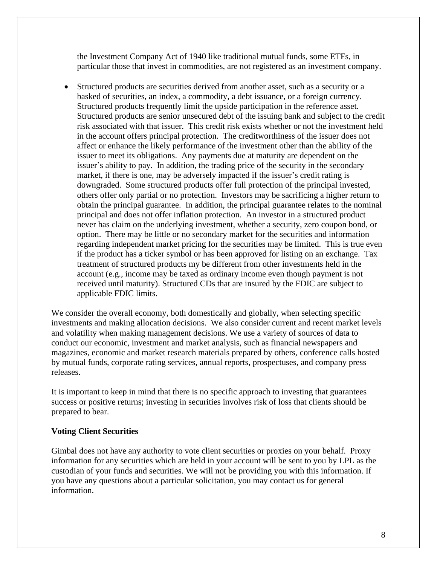the Investment Company Act of 1940 like traditional mutual funds, some ETFs, in particular those that invest in commodities, are not registered as an investment company.

• Structured products are securities derived from another asset, such as a security or a basked of securities, an index, a commodity, a debt issuance, or a foreign currency. Structured products frequently limit the upside participation in the reference asset. Structured products are senior unsecured debt of the issuing bank and subject to the credit risk associated with that issuer. This credit risk exists whether or not the investment held in the account offers principal protection. The creditworthiness of the issuer does not affect or enhance the likely performance of the investment other than the ability of the issuer to meet its obligations. Any payments due at maturity are dependent on the issuer's ability to pay. In addition, the trading price of the security in the secondary market, if there is one, may be adversely impacted if the issuer's credit rating is downgraded. Some structured products offer full protection of the principal invested, others offer only partial or no protection. Investors may be sacrificing a higher return to obtain the principal guarantee. In addition, the principal guarantee relates to the nominal principal and does not offer inflation protection. An investor in a structured product never has claim on the underlying investment, whether a security, zero coupon bond, or option. There may be little or no secondary market for the securities and information regarding independent market pricing for the securities may be limited. This is true even if the product has a ticker symbol or has been approved for listing on an exchange. Tax treatment of structured products my be different from other investments held in the account (e.g., income may be taxed as ordinary income even though payment is not received until maturity). Structured CDs that are insured by the FDIC are subject to applicable FDIC limits.

We consider the overall economy, both domestically and globally, when selecting specific investments and making allocation decisions. We also consider current and recent market levels and volatility when making management decisions. We use a variety of sources of data to conduct our economic, investment and market analysis, such as financial newspapers and magazines, economic and market research materials prepared by others, conference calls hosted by mutual funds, corporate rating services, annual reports, prospectuses, and company press releases.

It is important to keep in mind that there is no specific approach to investing that guarantees success or positive returns; investing in securities involves risk of loss that clients should be prepared to bear.

### **Voting Client Securities**

Gimbal does not have any authority to vote client securities or proxies on your behalf. Proxy information for any securities which are held in your account will be sent to you by LPL as the custodian of your funds and securities. We will not be providing you with this information. If you have any questions about a particular solicitation, you may contact us for general information.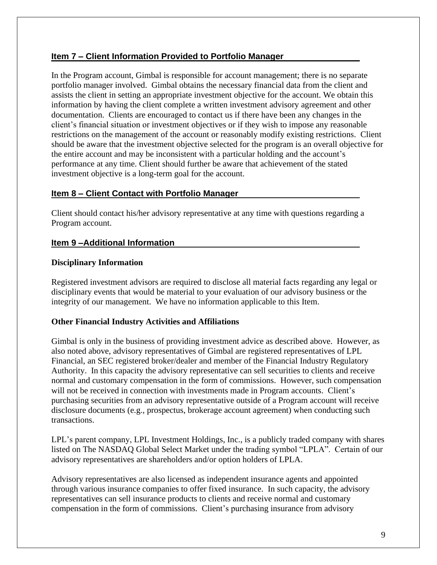## **Item 7 – Client Information Provided to Portfolio Manager**

In the Program account, Gimbal is responsible for account management; there is no separate portfolio manager involved. Gimbal obtains the necessary financial data from the client and assists the client in setting an appropriate investment objective for the account. We obtain this information by having the client complete a written investment advisory agreement and other documentation. Clients are encouraged to contact us if there have been any changes in the client's financial situation or investment objectives or if they wish to impose any reasonable restrictions on the management of the account or reasonably modify existing restrictions. Client should be aware that the investment objective selected for the program is an overall objective for the entire account and may be inconsistent with a particular holding and the account's performance at any time. Client should further be aware that achievement of the stated investment objective is a long-term goal for the account.

## **Item 8 – Client Contact with Portfolio Manager**

Client should contact his/her advisory representative at any time with questions regarding a Program account.

### **Item 9 –Additional Information**

### **Disciplinary Information**

Registered investment advisors are required to disclose all material facts regarding any legal or disciplinary events that would be material to your evaluation of our advisory business or the integrity of our management. We have no information applicable to this Item.

### **Other Financial Industry Activities and Affiliations**

Gimbal is only in the business of providing investment advice as described above. However, as also noted above, advisory representatives of Gimbal are registered representatives of LPL Financial, an SEC registered broker/dealer and member of the Financial Industry Regulatory Authority. In this capacity the advisory representative can sell securities to clients and receive normal and customary compensation in the form of commissions. However, such compensation will not be received in connection with investments made in Program accounts. Client's purchasing securities from an advisory representative outside of a Program account will receive disclosure documents (e.g., prospectus, brokerage account agreement) when conducting such transactions.

LPL's parent company, LPL Investment Holdings, Inc., is a publicly traded company with shares listed on The NASDAQ Global Select Market under the trading symbol "LPLA". Certain of our advisory representatives are shareholders and/or option holders of LPLA.

Advisory representatives are also licensed as independent insurance agents and appointed through various insurance companies to offer fixed insurance. In such capacity, the advisory representatives can sell insurance products to clients and receive normal and customary compensation in the form of commissions. Client's purchasing insurance from advisory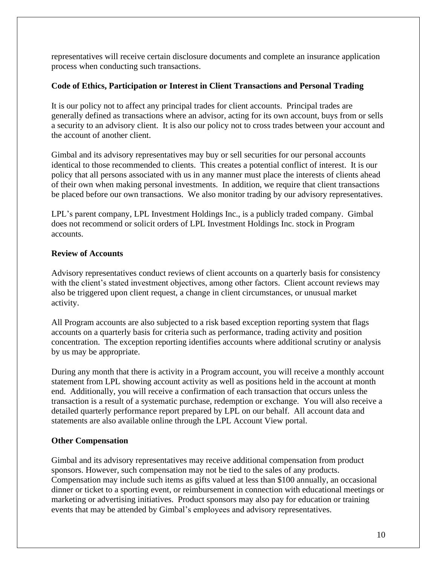representatives will receive certain disclosure documents and complete an insurance application process when conducting such transactions.

### **Code of Ethics, Participation or Interest in Client Transactions and Personal Trading**

It is our policy not to affect any principal trades for client accounts. Principal trades are generally defined as transactions where an advisor, acting for its own account, buys from or sells a security to an advisory client. It is also our policy not to cross trades between your account and the account of another client.

Gimbal and its advisory representatives may buy or sell securities for our personal accounts identical to those recommended to clients. This creates a potential conflict of interest. It is our policy that all persons associated with us in any manner must place the interests of clients ahead of their own when making personal investments. In addition, we require that client transactions be placed before our own transactions. We also monitor trading by our advisory representatives.

LPL's parent company, LPL Investment Holdings Inc., is a publicly traded company. Gimbal does not recommend or solicit orders of LPL Investment Holdings Inc. stock in Program accounts.

## **Review of Accounts**

Advisory representatives conduct reviews of client accounts on a quarterly basis for consistency with the client's stated investment objectives, among other factors. Client account reviews may also be triggered upon client request, a change in client circumstances, or unusual market activity.

All Program accounts are also subjected to a risk based exception reporting system that flags accounts on a quarterly basis for criteria such as performance, trading activity and position concentration. The exception reporting identifies accounts where additional scrutiny or analysis by us may be appropriate.

During any month that there is activity in a Program account, you will receive a monthly account statement from LPL showing account activity as well as positions held in the account at month end. Additionally, you will receive a confirmation of each transaction that occurs unless the transaction is a result of a systematic purchase, redemption or exchange. You will also receive a detailed quarterly performance report prepared by LPL on our behalf. All account data and statements are also available online through the LPL Account View portal.

### **Other Compensation**

Gimbal and its advisory representatives may receive additional compensation from product sponsors. However, such compensation may not be tied to the sales of any products. Compensation may include such items as gifts valued at less than \$100 annually, an occasional dinner or ticket to a sporting event, or reimbursement in connection with educational meetings or marketing or advertising initiatives. Product sponsors may also pay for education or training events that may be attended by Gimbal's employees and advisory representatives.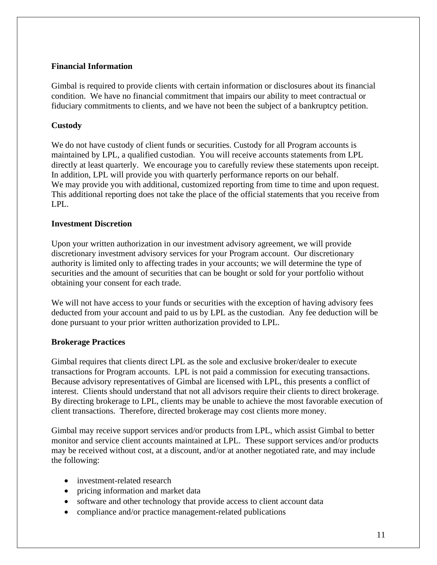#### **Financial Information**

Gimbal is required to provide clients with certain information or disclosures about its financial condition. We have no financial commitment that impairs our ability to meet contractual or fiduciary commitments to clients, and we have not been the subject of a bankruptcy petition.

#### **Custody**

We do not have custody of client funds or securities. Custody for all Program accounts is maintained by LPL, a qualified custodian. You will receive accounts statements from LPL directly at least quarterly. We encourage you to carefully review these statements upon receipt. In addition, LPL will provide you with quarterly performance reports on our behalf. We may provide you with additional, customized reporting from time to time and upon request. This additional reporting does not take the place of the official statements that you receive from LPL.

#### **Investment Discretion**

Upon your written authorization in our investment advisory agreement, we will provide discretionary investment advisory services for your Program account. Our discretionary authority is limited only to affecting trades in your accounts; we will determine the type of securities and the amount of securities that can be bought or sold for your portfolio without obtaining your consent for each trade.

We will not have access to your funds or securities with the exception of having advisory fees deducted from your account and paid to us by LPL as the custodian. Any fee deduction will be done pursuant to your prior written authorization provided to LPL.

#### **Brokerage Practices**

Gimbal requires that clients direct LPL as the sole and exclusive broker/dealer to execute transactions for Program accounts. LPL is not paid a commission for executing transactions. Because advisory representatives of Gimbal are licensed with LPL, this presents a conflict of interest. Clients should understand that not all advisors require their clients to direct brokerage. By directing brokerage to LPL, clients may be unable to achieve the most favorable execution of client transactions. Therefore, directed brokerage may cost clients more money.

Gimbal may receive support services and/or products from LPL, which assist Gimbal to better monitor and service client accounts maintained at LPL. These support services and/or products may be received without cost, at a discount, and/or at another negotiated rate, and may include the following:

- investment-related research
- pricing information and market data
- software and other technology that provide access to client account data
- compliance and/or practice management-related publications